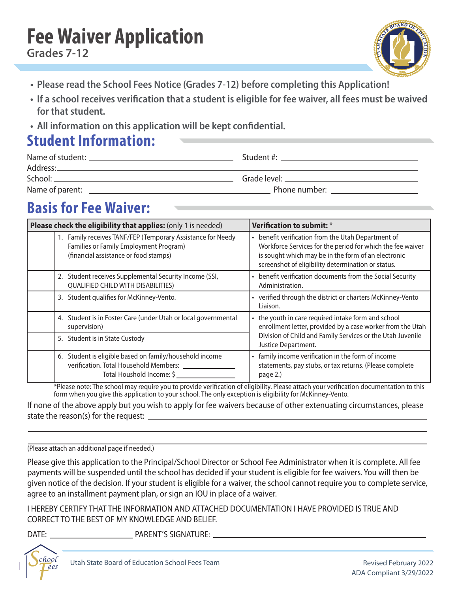# **Fee Waiver Application**



- **Please read the School Fees Notice (Grades 7-12) before completing this Application!**
- **If a school receives verification that a student is eligible for fee waiver, all fees must be waived for that student.**
- **All information on this application will be kept confidential.**

### **Student Information:**

| Name of parent:<br><u> 1980 - Jan Samuel Barbara, margaret e poeta e poeta estadounidense de la provincia de la provincia de la pro</u> | Phone number: New York Changes and The Changes of the Changes of the Changes of the Changes of the Changes of the Changes of the Changes of the Changes of the Changes of the Changes of the Changes of the Changes of the Cha |
|-----------------------------------------------------------------------------------------------------------------------------------------|--------------------------------------------------------------------------------------------------------------------------------------------------------------------------------------------------------------------------------|

## **Basis for Fee Waiver:**

| Please check the eligibility that applies: (only 1 is needed)                                                                                  | Verification to submit: *                                                                                                                                                                                                     |  |  |
|------------------------------------------------------------------------------------------------------------------------------------------------|-------------------------------------------------------------------------------------------------------------------------------------------------------------------------------------------------------------------------------|--|--|
| 1. Family receives TANF/FEP (Temporary Assistance for Needy<br>Families or Family Employment Program)<br>(financial assistance or food stamps) | • benefit verification from the Utah Department of<br>Workforce Services for the period for which the fee waiver<br>is sought which may be in the form of an electronic<br>screenshot of eligibility determination or status. |  |  |
| 2. Student receives Supplemental Security Income (SSI,<br><b>QUALIFIED CHILD WITH DISABILITIES)</b>                                            | • benefit verification documents from the Social Security<br>Administration.                                                                                                                                                  |  |  |
| 3. Student qualifies for McKinney-Vento.                                                                                                       | • verified through the district or charters McKinney-Vento<br>Liaison.                                                                                                                                                        |  |  |
| Student is in Foster Care (under Utah or local governmental<br>4.<br>supervision)                                                              | • the youth in care required intake form and school<br>enrollment letter, provided by a case worker from the Utah                                                                                                             |  |  |
| 5. Student is in State Custody                                                                                                                 | Division of Child and Family Services or the Utah Juvenile<br>Justice Department.                                                                                                                                             |  |  |
| Student is eligible based on family/household income<br>6.<br>verification. Total Household Members:<br>Total Houshold Income: \$              | • family income verification in the form of income<br>statements, pay stubs, or tax returns. (Please complete<br>page 2.)                                                                                                     |  |  |

\*Please note: The school may require you to provide verification of eligibility. Please attach your verification documentation to this form when you give this application to your school. The only exception is eligibility for McKinney-Vento.

If none of the above apply but you wish to apply for fee waivers because of other extenuating circumstances, please state the reason(s) for the request:

(Please attach an additional page if needed.)

Please give this application to the Principal/School Director or School Fee Administrator when it is complete. All fee payments will be suspended until the school has decided if your student is eligible for fee waivers. You will then be given notice of the decision. If your student is eligible for a waiver, the school cannot require you to complete service, agree to an installment payment plan, or sign an IOU in place of a waiver.

I HEREBY CERTIFY THAT THE INFORMATION AND ATTACHED DOCUMENTATION I HAVE PROVIDED IS TRUE AND CORRECT TO THE BEST OF MY KNOWLEDGE AND BELIEF.

DATE: PARENT'S SIGNATURE: